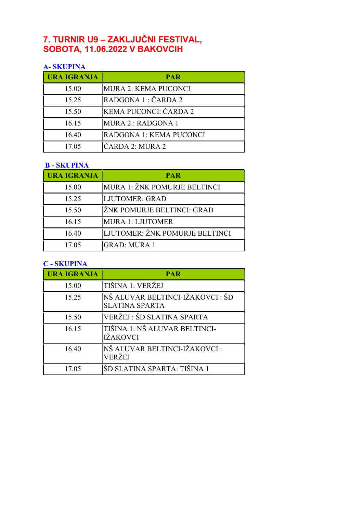# 7. TURNIR U9 – ZAKLJUČNI FESTIVAL, SOBOTA, 11.06.2022 V BAKOVCIH

# A- SKUPINA

| <b>URA IGRANJA</b> | <b>PAR</b>                  |
|--------------------|-----------------------------|
| 15.00              | <b>MURA 2: KEMA PUCONCI</b> |
| 15.25              | RADGONA 1 : ČARDA 2         |
| 15.50              | KEMA PUCONCI: ČARDA 2       |
| 16.15              | MURA 2: RADGONA 1           |
| 16.40              | RADGONA 1: KEMA PUCONCI     |
| 17.05              | ČARDA 2: MURA 2             |

#### B - SKUPINA

| <b>URA IGRANJA</b> | <b>PAR</b>                     |
|--------------------|--------------------------------|
| 15.00              | MURA 1: ŽNK POMURJE BELTINCI   |
| 15.25              | <b>LJUTOMER: GRAD</b>          |
| 15.50              | ŽNK POMURJE BELTINCI: GRAD     |
| 16.15              | <b>MURA 1: LJUTOMER</b>        |
| 16.40              | LJUTOMER: ŽNK POMURJE BELTINCI |
| 17.05              | <b>GRAD: MURA 1</b>            |

### C - SKUPINA

| <b>URA IGRANJA</b> | <b>PAR</b>                                                |
|--------------------|-----------------------------------------------------------|
| 15.00              | TIŠINA 1: VERŽEJ                                          |
| 15.25              | NŠ ALUVAR BELTINCI-IŽAKOVCI : ŠD<br><b>SLATINA SPARTA</b> |
| 15.50              | VERŽEJ: ŠD SLATINA SPARTA                                 |
| 16.15              | TIŠINA 1: NŠ ALUVAR BELTINCI-<br><b>IŽAKOVCI</b>          |
| 16.40              | NŠ ALUVAR BELTINCI-IŽAKOVCI :<br>VERŽEJ                   |
| 17.05              | ŠD SLATINA SPARTA: TIŠINA 1                               |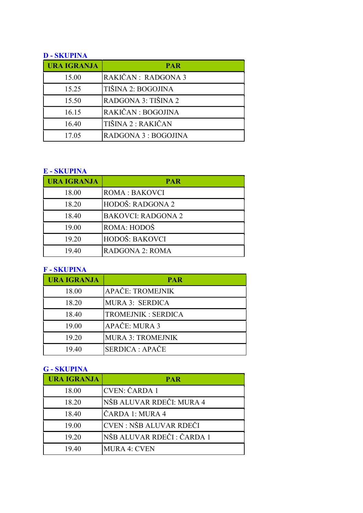### D - SKUPINA

| <b>URA IGRANJA</b> | <b>PAR</b>           |
|--------------------|----------------------|
| 15.00              | RAKIČAN: RADGONA 3   |
| 15.25              | TIŠINA 2: BOGOJINA   |
| 15.50              | RADGONA 3: TIŠINA 2  |
| 16.15              | RAKIČAN: BOGOJINA    |
| 16.40              | TIŠINA 2 : RAKIČAN   |
| 17.05              | RADGONA 3 : BOGOJINA |

## E - SKUPINA

| <b>URA IGRANJA</b> | <b>PAR</b>                |
|--------------------|---------------------------|
| 18.00              | ROMA: BAKOVCI             |
| 18.20              | HODOŠ: RADGONA 2          |
| 18.40              | <b>BAKOVCI: RADGONA 2</b> |
| 19.00              | ROMA: HODOŠ               |
| 19.20              | HODOŠ: BAKOVCI            |
| 19.40              | <b>RADGONA 2: ROMA</b>    |

## F - SKUPINA

| <b>URA IGRANJA</b> | <b>PAR</b>                |
|--------------------|---------------------------|
| 18.00              | APAČE: TROMEJNIK          |
| 18.20              | MURA 3: SERDICA           |
| 18.40              | <b>TROMEJNIK: SERDICA</b> |
| 19.00              | APAČE: MURA 3             |
| 19.20              | <b>MURA 3: TROMEJNIK</b>  |
| 19.40              | SERDICA : APAČE           |

#### G - SKUPINA

| <b>URA IGRANJA</b> | <b>PAR</b>                |
|--------------------|---------------------------|
| 18.00              | CVEN: ČARDA 1             |
| 18.20              | NŠB ALUVAR RDEČI: MURA 4  |
| 18.40              | ČARDA 1: MURA 4           |
| 19.00              | CVEN : NŠB ALUVAR RDEČI   |
| 19.20              | NŠB ALUVAR RDEČI: ČARDA 1 |
| 19.40              | <b>MURA 4: CVEN</b>       |